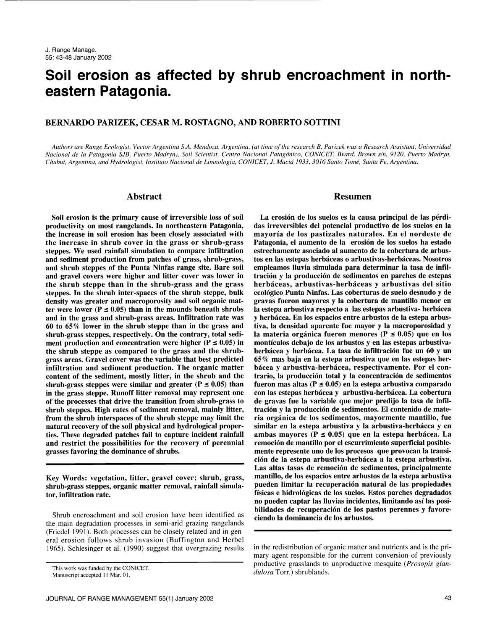# Soil erosion as affected by shrub encroachment in northeastern Patagonia.

# BERNARDO PARIZEK, CESAR M. ROSTAGNO, AND ROBERTO SOTTINI

Authors are Range Ecologist, Vector Argentina S.A, Mendoza, Argentina, (at time of the research B. Parizek was a Research Assistant, Universidad Nacional de la Patagonia SJB, Puerto Madryn), Soil Scientist, Centro Nacional Patagonico, CONICET, Bvard. Brown s/n, 9120, Puerto Madryn, Chubut, Argentina, and Hydrologist, Instituto Nacional de Limnologia, CONICET, J. Macia 1933, 3016 Santo Tome, Santa Fe, Argentina.

# Abstract

Soil erosion is the primary cause of irreversible loss of soil productivity on most rangelands. In northeastern Patagonia, the increase in soil erosion has been closely associated with the increase in shrub cover in the grass or shrub-grass steppes. We used rainfall simulation to compare infiltration and sediment production from patches of grass, shrub-grass, and shrub steppes of the Punta Ninfas range site. Bare soil and gravel covers were higher and litter cover was lower in the shrub steppe than in the shrub-grass and the grass steppes. In the shrub inter-spaces of the shrub steppe, bulk density was greater and macroporosity and soil organic matter were lower ( $P \le 0.05$ ) than in the mounds beneath shrubs la estepa arbustiva respecto a las estepas arbustiva- herbácea and in the grass and shrub-grass areas. Infiltration rate was 60 to 65% lower in the shrub steppe than in the grass and shrub-grass steppes, respectively. On the contrary, total sediment production and concentration were higher ( $P \le 0.05$ ) in the shrub steppe as compared to the grass and the shrubgrass areas. Gravel cover was the variable that best predicted infiltration and sediment production. The organic matter content of the sediment, mostly litter, in the shrub and the shrub-grass steppes were similar and greater ( $P \le 0.05$ ) than in the grass steppe. Runoff litter removal may represent one of the processes that drive the transition from shrub-grass to shrub steppes. High rates of sediment removal, mainly litter, from the shrub interspaces of the shrub steppe may limit the natural recovery of the soil physical and hydrological properties. These degraded patches fail to capture incident rainfall ambas mayores ( $P \le 0.05$ ) que en la estepa herbácea. La and restrict the possibilities for the recovery of perennial grasses favoring the dominance of shrubs.

Key Words: vegetation, litter, gravel cover; shrub, grass, shrub-grass steppes, organic matter removal, rainfall simulator, infiltration rate.

Shrub encroachment and soil erosion have been identified as the main degradation processes in semi-arid grazing rangelands (Friedel 1991). Both processes can be closely related and in general erosion follows shrub invasion (Buffington and Herbel 1965). Schlesinger et al. (1990) suggest that overgrazing results

#### Resumen

La erosión de los suelos es la causa principal de las pérdidas irreversibles del potencial productivo de los suelos en la mayoria de los pastizales naturales. En el nordeste de Patagonia, el aumento de la erosión de los suelos ha estado estrechamente asociado al aumento de la cobertura de arbustos en las estepas herbáceas o arbustivas-herbáceas. Nosotros empleamos lluvia simulada para determinar la tasa de infiltracion y la produccion de sedimentos en parches de estepas herbáceas, arbustivas-herbáceas y arbustivas del sitio ecológico Punta Ninfas. Las coberturas de suelo desnudo y de gravas fueron mayores y la cobertura de mantillo menor en y herbácea. En los espacios entre arbustos de la estepa arbustiva, la densidad aparente fue mayor y la macroporosidad y la materia orgánica fueron menores ( $P \le 0.05$ ) que en los monticulos debajo de los arbustos y en las estepas arbustivaherbácea y herbácea. La tasa de infiltración fue un 60 y un 65% mas baja en la estepa arbustiva que en las estepas herbácea y arbustiva-herbácea, respectivamente. Por el contrario, la produccion total y la concentracion de sedimentos fueron mas altas ( $P \le 0.05$ ) en la estepa arbustiva comparado con las estepas herbácea y arbustiva-herbácea. La cobertura de gravas fue la variable que mejor predijo la tasa de infiltracion y la produccion de sedimentos. El contenido de materia organica de los sedimentos, mayormente mantillo, fue similar en la estepa arbustiva y la arbustiva-herbácea y en remocion de mantillo por el escurrimiento superficial posiblemente represente uno de los procesos que provocan la transicion de la estepa arbustiva-herbacea a la estepa arbustiva. Las altas tasas de remoción de sedimentos, principalmente mantillo, de los espacios entre arbustos de la estepa arbustiva pueden limitar la recuperacion natural de las propiedades físicas e hidrológicas de los suelos. Estos parches degradados no pueden captar las lluvias incidentes, limitando asi las posibilidades de recuperación de los pastos perennes y favoreciendo la dominancia de los arbustos.

in the redistribution of organic matter and nutrients and is the primary agent responsible for the current conversion of previously productive grasslands to unproductive mesquite (Prosopis glandulosa Torr.) shrublands.

This work was funded by the CONICET.

Manuscript accepted 11 Mar. 01.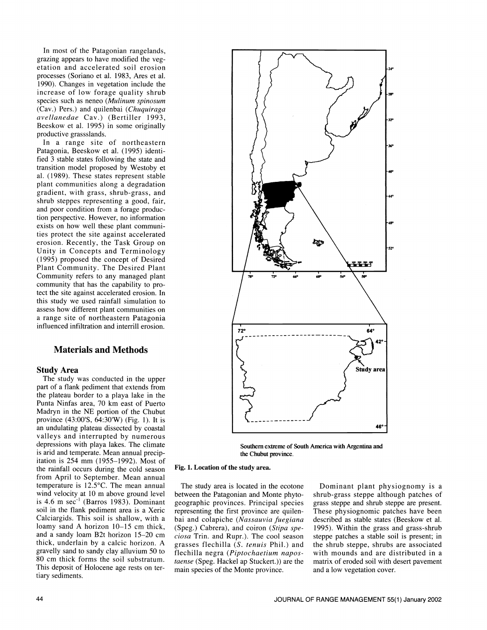In most of the Patagonian rangelands, grazing appears to have modified the vegetation and accelerated soil erosion processes (Soriano et al. 1983, Ares et al. 1990). Changes in vegetation include the increase of low forage quality shrub species such as neneo (Mulinum spinosum (Cav.) Pers.) and quilenbai (Chuquiraga avellanedae Cav.) (Bertiller 1993, Beeskow et al. 1995) in some originally productive grassslands.

In a range site of northeastern Patagonia, Beeskow et al. (1995) identified 3 stable states following the state and transition model proposed by Westoby et al. (1989). These states represent stable plant communities along a degradation gradient, with grass, shrub-grass, and shrub steppes representing a good, fair, and poor condition from a forage production perspective. However, no information exists on how well these plant communities protect the site against accelerated erosion. Recently, the Task Group on Unity in Concepts and Terminology (1995) proposed the concept of Desired Plant Community. The Desired Plant Community refers to any managed plant community that has the capability to protect the site against accelerated erosion. In<br>this study we used rainfall simulation to assess how different plant communities on a range site of northeastern Patagonia influenced infiltration and interrill erosion.

# Materials and Methods

## Study Area

The study was conducted in the upper part of a flank pediment that extends from the plateau border to a playa lake in the Punta Ninfas area, 70 km east of Puerto Madryn in the NE portion of the Chubut<br>province (43:00'S, 64:30'W) (Fig. 1). It is an undulating plateau dissected by coastal valleys and interrupted by numerous depressions with playa lakes. The climate is and and temperate. Mean annual precipitation is 254 mm (1955-1992). Most of the rainfall occurs during the cold season from April to September. Mean annual temperature is 12.5°C. The mean annual wind velocity at 10 m above ground level is 4.6 m sec-1 (Barros 1983). Dominant soil in the flank pediment area is a Xeric Calciargids. This soil is shallow, with a loamy sand A horizon 10-15 cm thick,<br>and a sandy loam B2t horizon 15-20 cm thick, underlain by a calcic horizon. A gravelly sand to sandy clay alluvium 50 to 80 cm thick forms the soil substratum. This deposit of Holocene age rests on tertiary sediments.



Southern extreme of South America with Argentina and the Chubut province.

#### Fig, 1. Location of the study area.

The study area is located in the ecotone between the Patagonian and Monte phytogeographic provinces. Principal species representing the first province are quilenbai and colapiche (Nassauvia fuegiana (Speg.) Cabrera), and coiron (Stipa speciosa Trin. and Rupr.). The cool season grasses flechilla (S. tenuis Phil.) and flechilla negra (Piptochaetium napostaense (Speg. Hackel ap Stuckert.)) are the main species of the Monte province.

Dominant plant physiognomy is a shrub-grass steppe although patches of grass steppe and shrub steppe are present. These physiognomic patches have been described as stable states (Beeskow et al. 1995). Within the grass and grass-shrub steppe patches a stable soil is present; in the shrub steppe, shrubs are associated with mounds and are distributed in a matrix of eroded soil with desert pavement and a low vegetation cover.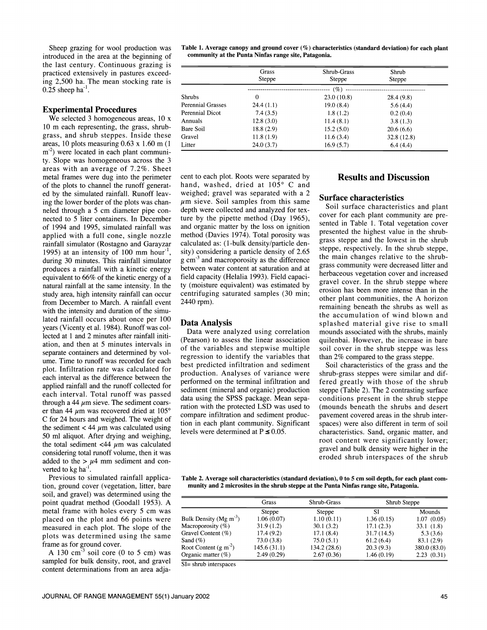introduced in the area at the beginning of the last century. Continuous grazing is practiced extensively in pastures exceeding 2,500 ha. The mean stocking rate is  $0.25$  sheep ha<sup>-1</sup>.

## Experimental Procedures

We selected 3 homogeneous areas, 10 x 10 m each representing, the grass, shrubgrass, and shrub steppes. Inside these areas, 10 plots measuring 0.63 x 1.60 m (1 m<sup>-2</sup>) were located in each plant community. Slope was homogeneous across the 3 areas with an average of 7.2%. Sheet metal frames were dug into the perimeter of the plots to channel the runoff generated by the simulated rainfall. Runoff leaving the lower border of the plots was chan-<br>neled through a 5 cm diameter pipe connected to 5 liter containers. In December of 1994 and 1995, simulated rainfall was applied with a full cone, single nozzle rainfall simulator (Rostagno and Garayzar 1995) at an intensity of 100 mm hour<sup>-1</sup>, during 30 minutes. This rainfall simulator produces a rainfall with a kinetic energy equivalent to 66% of the kinetic energy of a natural rainfall at the same intensity. In the study area, high intensity rainfall can occur from December to March. A rainfall event with the intensity and duration of the simulated rainfall occurs about once per 100 years (Vicenty et al. 1984). Runoff was collected at 1 and 2 minutes after rainfall initiation, and then at 5 minutes intervals in separate containers and determined by vol-<br>ume. Time to runoff was recorded for each plot. Infiltration rate was calculated for each interval as the difference between the applied rainfall and the runoff collected for each interval. Total runoff was passed<br>through a 44  $\mu$ m sieve. The sediment coarser than 44  $\mu$ m was recovered dried at 105° C for 24 hours and weighed. The weight of the sediment  $<$  44  $\mu$ m was calculated using 50 ml aliquot. After drying and weighing, the total sediment  $\langle 44 \mu m \rangle$  was calculated considering total runoff volume, then it was added to the  $> \mu$ 4 mm sediment and converted to kg ha<sup>-1</sup>.<br>Previous to simulated rainfall applica-

tion, ground cover (vegetation, litter, bare soil, and gravel) was determined using the point quadrat method (Goodall 1953). A metal frame with holes every 5 cm was placed on the plot and 66 points were measured in each plot. The slope of the plots was determined using the same

frame as for ground cover.<br>A 130 cm<sup>-3</sup> soil core (0 to 5 cm) was sampled for bulk density, root, and gravel content determinations from an area adja-

Sheep grazing for wool production was Table 1. Average canopy and ground cover (%) characteristics (standard deviation) for each plant community at the Punta Ninfas range site, Patagonia.

|                   | Grass<br><b>Steppe</b> | Shrub-Grass<br><b>Steppe</b> | Shrub<br>Steppe |  |  |
|-------------------|------------------------|------------------------------|-----------------|--|--|
|                   | (%)                    |                              |                 |  |  |
| <b>Shrubs</b>     | $\Omega$               | 23.0(10.8)                   | 28.4(9.8)       |  |  |
| Perennial Grasses | 24.4(1.1)              | 19.0(8.4)                    | 5.6(4.4)        |  |  |
| Perennial Dicot   | 7.4(3.5)               | 1.8(1.2)                     | 0.2(0.4)        |  |  |
| Annuals           | 12.8(3.0)              | 11.4(8.1)                    | 3.8(1.3)        |  |  |
| Bare Soil         | 18.8(2.9)              | 15.2(5.0)                    | 20.6(6.6)       |  |  |
| Gravel            | 11.8(1.9)              | 11.6(3.4)                    | 32.8(12.8)      |  |  |
| Litter            | 24.0(3.7)              | 16.9(5.7)                    | 6.4(4.4)        |  |  |

cent to each plot. Roots were separated by hand, washed, dried at 105° C and weighed; gravel was separated with a 2  $\mu$ m sieve. Soil samples from this same depth were collected and analyzed for texture by the pipette method (Day 1965), and organic matter by the loss on ignition method (Davies 1974). Total porosity was calculated as: (1-bulk density/particle density) considering a particle density of 2.65  $g \text{ cm}^{-3}$  and macroporosity as the difference between water content at saturation and at field capacity (Helalia 1993). Field capacity (moisture equivalent) was estimated by centrifuging saturated samples (30 min; 2440 rpm).

#### Data Analysis

Data were analyzed using correlation (Pearson) to assess the linear association of the variables and stepwise multiple regression to identify the variables that best predicted infiltration and sediment production. Analyses of variance were performed on the terminal infiltration and sediment (mineral and organic) production data using the SPSS package. Mean separation with the protected LSD was used to compare infiltration and sediment production in each plant community. Significant levels were determined at  $P \le 0.05$ .

# Results and Discussion

#### Surface characteristics

Soil surface characteristics and plant cover for each plant community are presented in Table 1. Total vegetation cover presented the highest value in the shrubgrass steppe and the lowest in the shrub steppe, respectively. In the shrub steppe, the main changes relative to the shrubgrass community were decreased litter and herbaceous vegetation cover and increased gravel cover. In the shrub steppe where erosion has been more intense than in the other plant communities, the A horizon remaining beneath the shrubs as well as the accumulation of wind blown and splashed material give rise to small mounds associated with the shrubs, mainly quilenbai. However, the increase in bare soil cover in the shrub steppe was less than 2% compared to the grass steppe.

Soil characteristics of the grass and the shrub-grass steppes were similar and differed greatly with those of the shrub steppe (Table 2). The 2 contrasting surface conditions present in the shrub steppe (mounds beneath the shrubs and desert pavement covered areas in the shrub interspaces) were also different in term of soil characteristics. Sand, organic matter, and root content were significantly lower; gravel and bulk density were higher in the eroded shrub interspaces of the shrub

Table 2. Average soil characteristics (standard deviation), 0 to 5 cm soil depth, for each plant community and 2 microsites in the shrub steppe at the Punta Ninfas range site, Patagonia.

|                                      | Grass<br><b>Steppe</b> | Shrub-Grass<br><b>Steppe</b> | Shrub Steppe |               |
|--------------------------------------|------------------------|------------------------------|--------------|---------------|
|                                      |                        |                              | SI           | <b>Mounds</b> |
| Bulk Density ( $Mg \text{ m}^{-3}$ ) | 1.06(0.07)             | 1.10(0.11)                   | 1.36(0.15)   | 1.07(0.05)    |
| Macroporosity $(\%)$                 | 31.9(1.2)              | 30.1(3.2)                    | 17.1(2.3)    | 33.1(1.8)     |
| Gravel Content $(\%)$                | 17.4(9.2)              | 17.1(8.4)                    | 31.7(14.5)   | 5.3(3.6)      |
| Sand $(\%)$                          | 73.0 (3.8)             | 75.0(5.1)                    | 61.2(6.4)    | 83.1 (2.9)    |
| Root Content $(g m-2)$               | 145.6(31.1)            | 134.2 (28.6)                 | 20.3(9.3)    | 380.0 (83.0)  |
| Organic matter $(\%)$                | 2.49(0.29)             | 2.67(0.36)                   | 1.46(0.19)   | 2.23(0.31)    |

51= shrub interspaces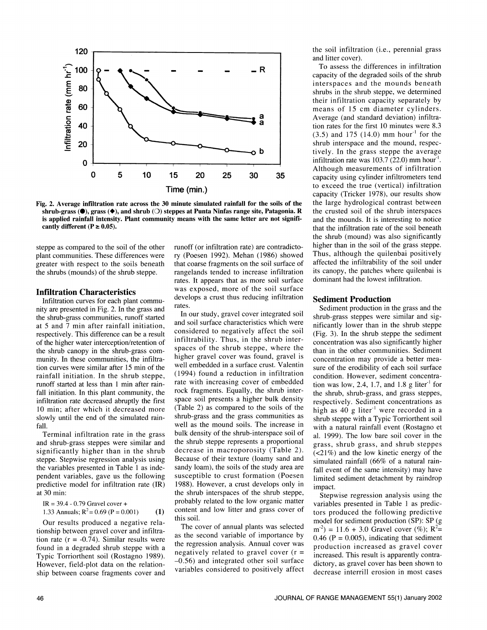

Fig. 2. Average infiltration rate across the 30 minute simulated rainfall for the soils of the shrub-grass ( $\bullet$ ), grass ( $\bullet$ ), and shrub (O) steppes at Punta Ninfas range site, Patagonia. R is applied rainfall intensity. Plant community means with the same letter are not significantly different ( $P \ge 0.05$ ).

steppe as compared to the soil of the other plant communities. These differences were greater with respect to the soils beneath the shrubs (mounds) of the shrub steppe.

#### Infiltration Characteristics

Infiltration curves for each plant commu nity are presented in Fig. 2. In the grass and the shrub-grass communities, runoff started at 5 and 7 min after rainfall initiation, respectively. This difference can be a result of the higher water interception/retention of the shrub canopy in the shrub-grass com munity. In these communities, the infiltration curves were similar after 15 min of the rainfall initiation. In the shrub steppe, runoff started at less than 1 min after rainfall initiation. In this plant community, the infiltration rate decreased abruptly the first 10 min; after which it decreased more slowly until the end of the simulated rainfall.

Terminal infiltration rate in the grass and shrub-grass steppes were similar and significantly higher than in the shrub steppe. Stepwise regression analysis using the variables presented in Table 1 as independent variables, gave us the following predictive model for infiltration rate (IR) at 30 min:

$$
IR = 39.4 - 0.79
$$
 Gravel cover +

IR = 39.4 - 0.79 Gravel cover + 1.33 Annuals; R2 = 0.69 (P = 0.001) (1)

Our results produced a negative relationship between gravel cover and infiltration rate ( $r = -0.74$ ). Similar results were found in a degraded shrub steppe with a However, field-plot data on the relationship between coarse fragments cover and

runoff (or infiltration rate) are contradictory (Poesen 1992). Mehan (1986) showed that coarse fragments on the soil surface of rangelands tended to increase infiltration rates. It appears that as more soil surface was exposed, more of the soil surface develops a crust thus reducing infiltration rates.

In our study, gravel cover integrated soil and soil surface characteristics which were considered to negatively affect the soil infiltrability. Thus, in the shrub interspaces of the shrub steppe, where the higher gravel cover was found, gravel is concentration may provide a better meawell embedded in a surface crust. Valentin (1994) found a reduction in infiltration rate with increasing cover of embedded rock fragments. Equally, the shrub interspace soil presents a higher bulk density (Table 2) as compared to the soils of the  $\frac{1}{2}$  high as 40 g liter<sup>-1</sup> were recorded in a shrub-grass and the grass communities as well as the mound soils. The increase in bulk density of the shrub-interspace soil of the shrub steppe represents a proportional decrease in macroporosity (Table 2). Because of their texture (loamy sand and sandy loam), the soils of the study area are susceptible to crust formation (Poesen 1988). However, a crust develops only in the shrub interspaces of the shrub steppe, probably related to the low organic matter content and low litter and grass cover of this soil.

Typic Torriorthent soil (Rostagno 1989). Inegatively related to gravel cover  $(1 -$ <br>-0.56) and integrated other soil surface The cover of annual plants was selected as the second variable of importance by the regression analysis. Annual cover was negatively related to gravel cover  $(r =$ variables considered to positively affect

the soil infiltration (i.e., perennial grass and litter cover).

To assess the differences in infiltration capacity of the degraded soils of the shrub interspaces and the mounds beneath shrubs in the shrub steppe, we determined their infiltration capacity separately by means of 15 cm diameter cylinders. Average (and standard deviation) infiltration rates for the first 10 minutes were 8.3  $(3.5)$  and 175 (14.0) mm hour<sup>-1</sup> for the shrub interspace and the mound, respectively. In the grass steppe the average infiltration rate was  $103.7(22.0)$  mm hour<sup>-1</sup>. Although measurements of infiltration capacity using cylinder infiltrometers tend to exceed the true (vertical) infiltration capacity (Tricker 1978), our results show the large hydrological contrast between the crusted soil of the shrub interspaces and the mounds. It is interesting to notice that the infiltration rate of the soil beneath the shrub (mound) was also significantly higher than in the soil of the grass steppe. Thus, although the quilenbai positively affected the infiltrability of the soil under its canopy, the patches where quilenbai is dominant had the lowest infiltration.

#### Sediment Production

Sediment production in the grass and the shrub-grass steppes were similar and significantly lower than in the shrub steppe (Fig. 3). In the shrub steppe the sediment concentration was also significantly higher than in the other communities. Sediment sure of the erodibility of each soil surface condition. However, sediment concentration was low, 2.4, 1.7, and 1.8 g liter<sup>-1</sup> for the shrub, shrub-grass, and grass steppes, respectively. Sediment concentrations as shrub steppe with a Typic Torriorthent soil with a natural rainfall event (Rostagno et al. 1999). The low bare soil cover in the grass, shrub grass, and shrub steppes (<21%) and the low kinetic energy of the simulated rainfall (66% of a natural rainfall event of the same intensity) may have limited sediment detachment by raindrop impact.

Stepwise regression analysis using the variables presented in Table 1 as predictors produced the following predictive model for sediment production (SP): SP (g  $m^{-2}$ ) = 11.6 + 3.0 Gravel cover (%); R<sup>2</sup>= 0.46 ( $P = 0.005$ ), indicating that sediment production increased as gravel cover increased. This result is apparently contradictory, as gravel cover has been shown to decrease interrill erosion in most cases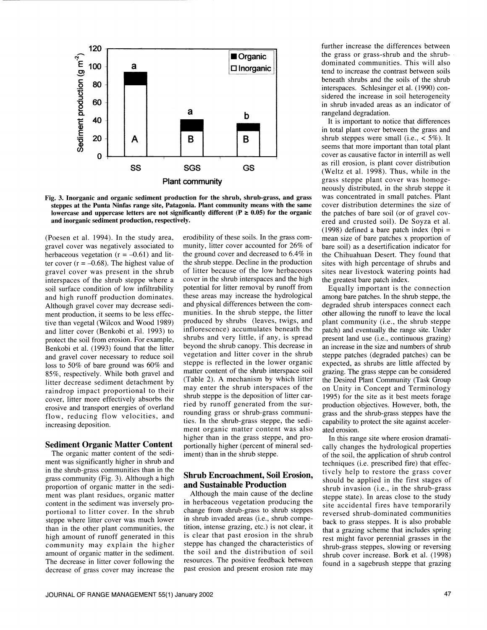



(Poesen et al. 1994). In the study area, erodibility of these soils. In the grass comgravel cover was negatively associated to herbaceous vegetation ( $r = -0.61$ ) and litter cover ( $r = -0.68$ ). The highest value of gravel cover was present in the shrub<br>interspaces of the shrub steppe where a soil surface condition of low infiltrability and high runoff production dominates. Although gravel cover may decrease sediment production, it seems to be less effective than vegetal (Wilcox and Wood 1989) and litter cover (Benkobi et al. 1993) to protect the soil from erosion. For example, Benkobi et al. (1993) found that the litter and gravel cover necessary to reduce soil loss to 50% of bare ground was 60% and 85%, respectively. While both gravel and litter decrease sediment detachment by raindrop impact proportional to their cover, litter more effectively absorbs the erosive and transport energies of overland flow, reducing flow velocities, and increasing deposition.

#### Sediment Organic Matter Content

The organic matter content of the sediment was significantly higher in shrub and in the shrub-grass communities than in the grass community (Fig. 3). Although a high proportion of organic matter in the sediment was plant residues, organic matter content in the sediment was inversely proportional to litter cover. In the shrub steppe where litter cover was much lower than in the other plant communities, the high amount of runoff generated in this community may explain the higher amount of organic matter in the sediment. The decrease in litter cover following the decrease of grass cover may increase the

munity, litter cover accounted for 26% of the ground cover and decreased to 6.4% in the shrub steppe. Decline in the production of litter because of the low herbaceous cover in the shrub interspaces and the high potential for litter removal by runoff from these areas may increase the hydrological and physical differences between the com munities. In the shrub steppe, the litter produced by shrubs (leaves, twigs, and inflorescence) accumulates beneath the shrubs and very little, if any, is spread beyond the shrub canopy. This decrease in vegetation and litter cover in the shrub steppe is reflected in the lower organic matter content of the shrub interspace soil (Table 2). A mechanism by which litter may enter the shrub interspaces of the shrub steppe is the deposition of litter car ried by runoff generated from the surrounding grass or shrub-grass communities. In the shrub-grass steppe, the sediment organic matter content was also higher than in the grass steppe, and proportionally higher (percent of mineral sediment) than in the shrub steppe.

# Shrub Encroachment, Soil Erosion, and Sustainable Production

Although the main cause of the decline in herbaceous vegetation producing the change from shrub-grass to shrub steppes in shrub invaded areas (i.e., shrub competition, intense grazing, etc.) is not clear, it is clear that past erosion in the shrub steppe has changed the characteristics of the soil and the distribution of soil resources. The positive feedback between past erosion and present erosion rate may

further increase the differences between the grass or grass-shrub and the shrubdominated communities. This will also tend to increase the contrast between soils beneath shrubs and the soils of the shrub interspaces. Schlesinger et al. (1990) con sidered the increase in soil heterogeneity in shrub invaded areas as an indicator of rangeland degradation.

It is important to notice that differences in total plant cover between the grass and shrub steppes were small (i.e.,  $<$  5%). It seems that more important than total plant cover as causative factor in interrill as well as rill erosion, is plant cover distribution (Weltz et al. 1998). Thus, while in the grass steppe plant cover was homogeneously distributed, in the shrub steppe it was concentrated in small patches. Plant cover distribution determines the size of the patches of bare soil (or of gravel cov ered and crusted soil). De Soyza et al. (1998) defined a bare patch index (bpi  $=$ mean size of bare patches x proportion of bare soil) as a desertification indicator for the Chihuahuan Desert. They found that sites with high percentage of shrubs and sites near livestock watering points had the greatest bare patch index.

Equally important is the connection among bare patches. In the shrub steppe, the degraded shrub interspaces connect each other allowing the runoff to leave the local plant community (i.e., the shrub steppe patch) and eventually the range site. Under present land use (i.e., continuous grazing) an increase in the size and numbers of shrub steppe patches (degraded patches) can be expected, as shrubs are little affected by grazing. The grass steppe can be considered the Desired Plant Community (Task Group on Unity in Concept and Terminology 1995) for the site as it best meets forage production objectives. However, both, the grass and the shrub-grass steppes have the capability to protect the site against accelerated erosion.

In this range site where erosion dramatically changes the hydrological properties of the soil, the application of shrub control techniques (i.e. prescribed fire) that effectively help to restore the grass cover should be applied in the first stages of shrub invasion (i.e., in the shrub-grass steppe state). In areas close to the study site accidental fires have temporarily reversed shrub-dominated communities back to grass steppes. It is also probable that a grazing scheme that includes spring rest might favor perennial grasses in the shrub-grass steppes, slowing or reversing shrub cover increase. Bork et al. (1998) found in a sagebrush steppe that grazing